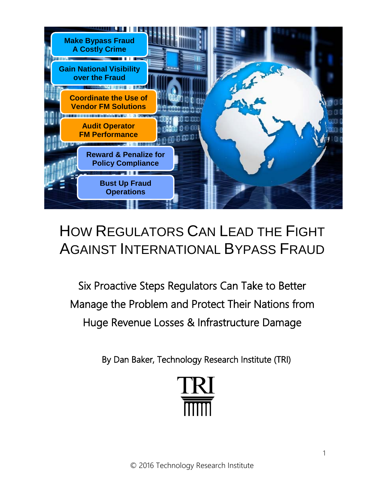

# HOW REGULATORS CAN LEAD THE FIGHT AGAINST INTERNATIONAL BYPASS FRAUD

Six Proactive Steps Regulators Can Take to Better Manage the Problem and Protect Their Nations from Huge Revenue Losses & Infrastructure Damage

By Dan Baker, Technology Research Institute (TRI)

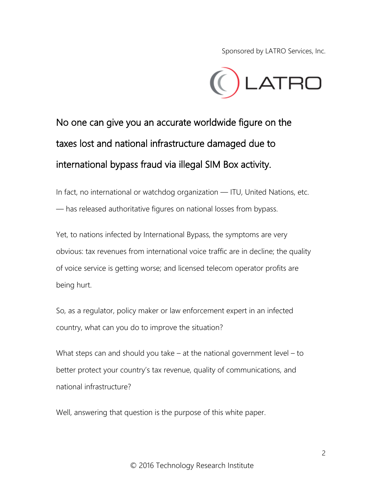Sponsored by LATRO Services, Inc.



# No one can give you an accurate worldwide figure on the taxes lost and national infrastructure damaged due to international bypass fraud via illegal SIM Box activity.

In fact, no international or watchdog organization — ITU, United Nations, etc. — has released authoritative figures on national losses from bypass.

Yet, to nations infected by International Bypass, the symptoms are very obvious: tax revenues from international voice traffic are in decline; the quality of voice service is getting worse; and licensed telecom operator profits are being hurt.

So, as a regulator, policy maker or law enforcement expert in an infected country, what can you do to improve the situation?

What steps can and should you take – at the national government level – to better protect your country's tax revenue, quality of communications, and national infrastructure?

Well, answering that question is the purpose of this white paper.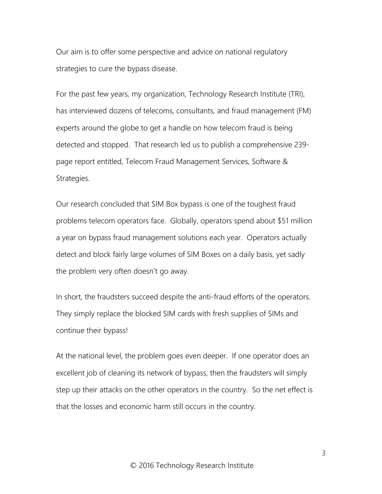Our aim is to offer some perspective and advice on national regulatory strategies to cure the bypass disease.

For the past few years, my organization, Technology Research Institute (TRI), has interviewed dozens of telecoms, consultants, and fraud management (FM) experts around the globe to get a handle on how telecom fraud is being detected and stopped. That research led us to publish a comprehensive 239 page report entitled, Telecom Fraud Management Services, Software & Strategies.

Our research concluded that SIM Box bypass is one of the toughest fraud problems telecom operators face. Globally, operators spend about \$51 million a year on bypass fraud management solutions each year. Operators actually detect and block fairly large volumes of SIM Boxes on a daily basis, yet sadly the problem very often doesn't go away.

In short, the fraudsters succeed despite the anti-fraud efforts of the operators. They simply replace the blocked SIM cards with fresh supplies of SIMs and continue their bypass!

At the national level, the problem goes even deeper. If one operator does an excellent job of cleaning its network of bypass, then the fraudsters will simply step up their attacks on the other operators in the country. So the net effect is that the losses and economic harm still occurs in the country.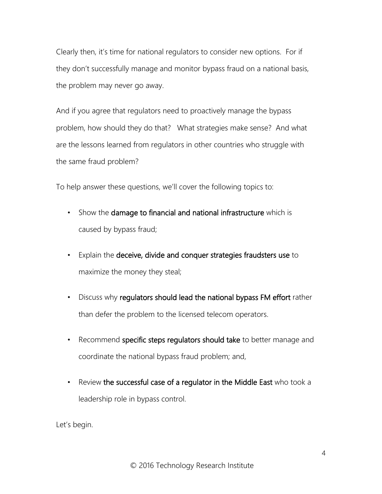Clearly then, it's time for national regulators to consider new options. For if they don't successfully manage and monitor bypass fraud on a national basis, the problem may never go away.

And if you agree that regulators need to proactively manage the bypass problem, how should they do that? What strategies make sense? And what are the lessons learned from regulators in other countries who struggle with the same fraud problem?

To help answer these questions, we'll cover the following topics to:

- Show the damage to financial and national infrastructure which is caused by bypass fraud;
- Explain the deceive, divide and conquer strategies fraudsters use to maximize the money they steal;
- Discuss why regulators should lead the national bypass FM effort rather than defer the problem to the licensed telecom operators.
- Recommend specific steps regulators should take to better manage and coordinate the national bypass fraud problem; and,
- Review the successful case of a regulator in the Middle East who took a leadership role in bypass control.

Let's begin.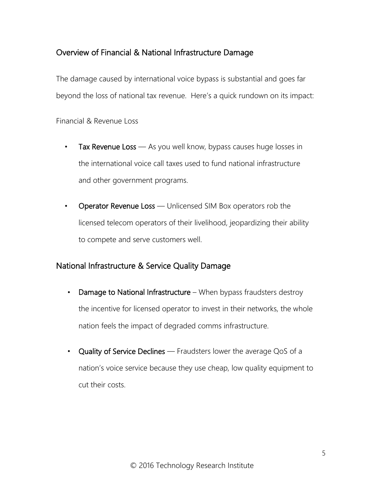# Overview of Financial & National Infrastructure Damage

The damage caused by international voice bypass is substantial and goes far beyond the loss of national tax revenue. Here's a quick rundown on its impact:

Financial & Revenue Loss

- Tax Revenue Loss As you well know, bypass causes huge losses in the international voice call taxes used to fund national infrastructure and other government programs.
- Operator Revenue Loss Unlicensed SIM Box operators rob the licensed telecom operators of their livelihood, jeopardizing their ability to compete and serve customers well.

## National Infrastructure & Service Quality Damage

- Damage to National Infrastructure When bypass fraudsters destroy the incentive for licensed operator to invest in their networks, the whole nation feels the impact of degraded comms infrastructure.
- Quality of Service Declines Fraudsters lower the average QoS of a nation's voice service because they use cheap, low quality equipment to cut their costs.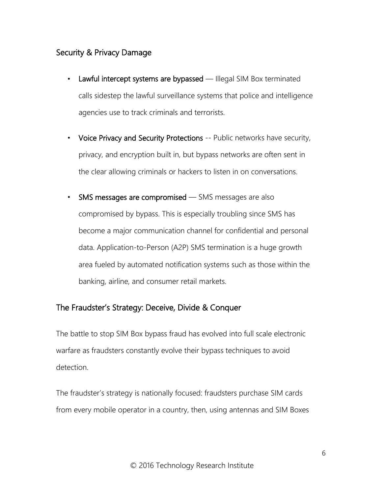# Security & Privacy Damage

- Lawful intercept systems are bypassed Illegal SIM Box terminated calls sidestep the lawful surveillance systems that police and intelligence agencies use to track criminals and terrorists.
- Voice Privacy and Security Protections -- Public networks have security, privacy, and encryption built in, but bypass networks are often sent in the clear allowing criminals or hackers to listen in on conversations.
- SMS messages are compromised SMS messages are also compromised by bypass. This is especially troubling since SMS has become a major communication channel for confidential and personal data. Application-to-Person (A2P) SMS termination is a huge growth area fueled by automated notification systems such as those within the banking, airline, and consumer retail markets.

# The Fraudster's Strategy: Deceive, Divide & Conquer

The battle to stop SIM Box bypass fraud has evolved into full scale electronic warfare as fraudsters constantly evolve their bypass techniques to avoid detection.

The fraudster's strategy is nationally focused: fraudsters purchase SIM cards from every mobile operator in a country, then, using antennas and SIM Boxes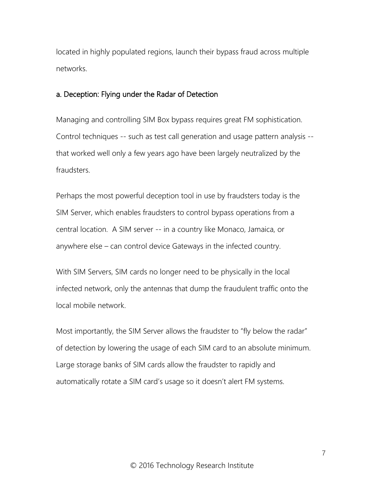located in highly populated regions, launch their bypass fraud across multiple networks.

### a. Deception: Flying under the Radar of Detection

Managing and controlling SIM Box bypass requires great FM sophistication. Control techniques -- such as test call generation and usage pattern analysis - that worked well only a few years ago have been largely neutralized by the fraudsters.

Perhaps the most powerful deception tool in use by fraudsters today is the SIM Server, which enables fraudsters to control bypass operations from a central location. A SIM server -- in a country like Monaco, Jamaica, or anywhere else – can control device Gateways in the infected country.

With SIM Servers, SIM cards no longer need to be physically in the local infected network, only the antennas that dump the fraudulent traffic onto the local mobile network.

Most importantly, the SIM Server allows the fraudster to "fly below the radar" of detection by lowering the usage of each SIM card to an absolute minimum. Large storage banks of SIM cards allow the fraudster to rapidly and automatically rotate a SIM card's usage so it doesn't alert FM systems.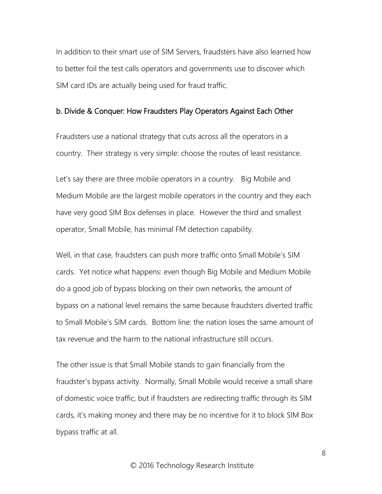In addition to their smart use of SIM Servers, fraudsters have also learned how to better foil the test calls operators and governments use to discover which SIM card IDs are actually being used for fraud traffic.

#### b. Divide & Conquer: How Fraudsters Play Operators Against Each Other

Fraudsters use a national strategy that cuts across all the operators in a country. Their strategy is very simple: choose the routes of least resistance.

Let's say there are three mobile operators in a country. Big Mobile and Medium Mobile are the largest mobile operators in the country and they each have very good SIM Box defenses in place. However the third and smallest operator, Small Mobile, has minimal FM detection capability.

Well, in that case, fraudsters can push more traffic onto Small Mobile's SIM cards. Yet notice what happens: even though Big Mobile and Medium Mobile do a good job of bypass blocking on their own networks, the amount of bypass on a national level remains the same because fraudsters diverted traffic to Small Mobile's SIM cards. Bottom line: the nation loses the same amount of tax revenue and the harm to the national infrastructure still occurs.

The other issue is that Small Mobile stands to gain financially from the fraudster's bypass activity. Normally, Small Mobile would receive a small share of domestic voice traffic, but if fraudsters are redirecting traffic through its SIM cards, it's making money and there may be no incentive for it to block SIM Box bypass traffic at all.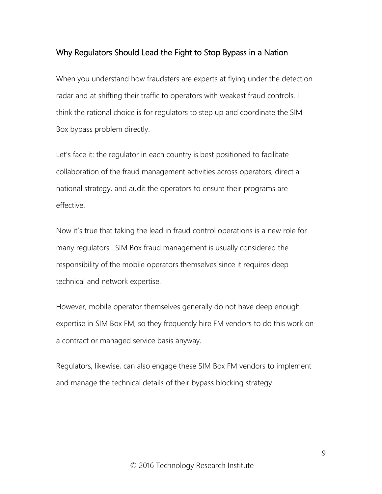## Why Regulators Should Lead the Fight to Stop Bypass in a Nation

When you understand how fraudsters are experts at flying under the detection radar and at shifting their traffic to operators with weakest fraud controls, I think the rational choice is for regulators to step up and coordinate the SIM Box bypass problem directly.

Let's face it: the regulator in each country is best positioned to facilitate collaboration of the fraud management activities across operators, direct a national strategy, and audit the operators to ensure their programs are effective.

Now it's true that taking the lead in fraud control operations is a new role for many regulators. SIM Box fraud management is usually considered the responsibility of the mobile operators themselves since it requires deep technical and network expertise.

However, mobile operator themselves generally do not have deep enough expertise in SIM Box FM, so they frequently hire FM vendors to do this work on a contract or managed service basis anyway.

Regulators, likewise, can also engage these SIM Box FM vendors to implement and manage the technical details of their bypass blocking strategy.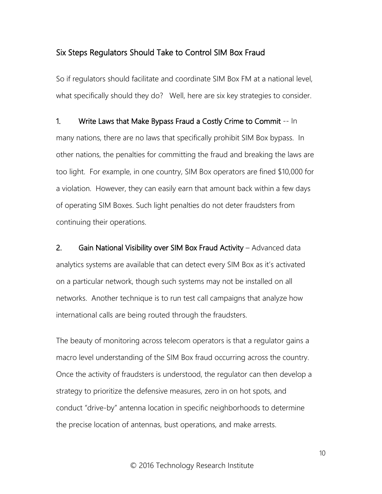## Six Steps Regulators Should Take to Control SIM Box Fraud

So if regulators should facilitate and coordinate SIM Box FM at a national level, what specifically should they do? Well, here are six key strategies to consider.

1. Write Laws that Make Bypass Fraud a Costly Crime to Commit -- In many nations, there are no laws that specifically prohibit SIM Box bypass. In other nations, the penalties for committing the fraud and breaking the laws are too light. For example, in one country, SIM Box operators are fined \$10,000 for a violation. However, they can easily earn that amount back within a few days of operating SIM Boxes. Such light penalties do not deter fraudsters from continuing their operations.

2. Gain National Visibility over SIM Box Fraud Activity - Advanced data analytics systems are available that can detect every SIM Box as it's activated on a particular network, though such systems may not be installed on all networks. Another technique is to run test call campaigns that analyze how international calls are being routed through the fraudsters.

The beauty of monitoring across telecom operators is that a regulator gains a macro level understanding of the SIM Box fraud occurring across the country. Once the activity of fraudsters is understood, the regulator can then develop a strategy to prioritize the defensive measures, zero in on hot spots, and conduct "drive-by" antenna location in specific neighborhoods to determine the precise location of antennas, bust operations, and make arrests.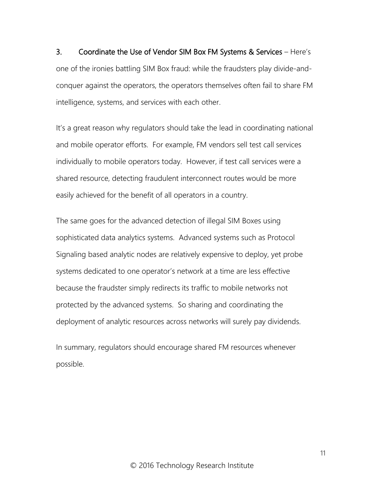3. Coordinate the Use of Vendor SIM Box FM Systems & Services – Here's one of the ironies battling SIM Box fraud: while the fraudsters play divide-andconquer against the operators, the operators themselves often fail to share FM intelligence, systems, and services with each other.

It's a great reason why regulators should take the lead in coordinating national and mobile operator efforts. For example, FM vendors sell test call services individually to mobile operators today. However, if test call services were a shared resource, detecting fraudulent interconnect routes would be more easily achieved for the benefit of all operators in a country.

The same goes for the advanced detection of illegal SIM Boxes using sophisticated data analytics systems. Advanced systems such as Protocol Signaling based analytic nodes are relatively expensive to deploy, yet probe systems dedicated to one operator's network at a time are less effective because the fraudster simply redirects its traffic to mobile networks not protected by the advanced systems. So sharing and coordinating the deployment of analytic resources across networks will surely pay dividends.

In summary, regulators should encourage shared FM resources whenever possible.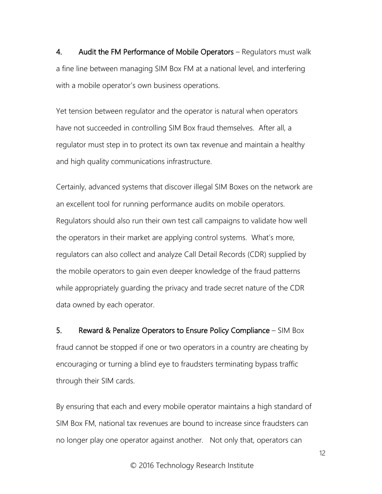4. Audit the FM Performance of Mobile Operators – Regulators must walk a fine line between managing SIM Box FM at a national level, and interfering with a mobile operator's own business operations.

Yet tension between regulator and the operator is natural when operators have not succeeded in controlling SIM Box fraud themselves. After all, a regulator must step in to protect its own tax revenue and maintain a healthy and high quality communications infrastructure.

Certainly, advanced systems that discover illegal SIM Boxes on the network are an excellent tool for running performance audits on mobile operators. Regulators should also run their own test call campaigns to validate how well the operators in their market are applying control systems. What's more, regulators can also collect and analyze Call Detail Records (CDR) supplied by the mobile operators to gain even deeper knowledge of the fraud patterns while appropriately guarding the privacy and trade secret nature of the CDR data owned by each operator.

5. Reward & Penalize Operators to Ensure Policy Compliance – SIM Box fraud cannot be stopped if one or two operators in a country are cheating by encouraging or turning a blind eye to fraudsters terminating bypass traffic through their SIM cards.

By ensuring that each and every mobile operator maintains a high standard of SIM Box FM, national tax revenues are bound to increase since fraudsters can no longer play one operator against another. Not only that, operators can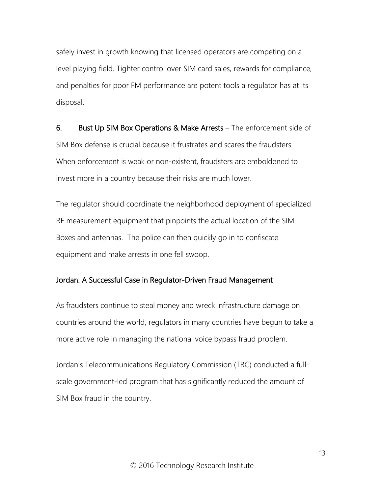safely invest in growth knowing that licensed operators are competing on a level playing field. Tighter control over SIM card sales, rewards for compliance, and penalties for poor FM performance are potent tools a regulator has at its disposal.

6. Bust Up SIM Box Operations & Make Arrests – The enforcement side of SIM Box defense is crucial because it frustrates and scares the fraudsters. When enforcement is weak or non-existent, fraudsters are emboldened to invest more in a country because their risks are much lower.

The regulator should coordinate the neighborhood deployment of specialized RF measurement equipment that pinpoints the actual location of the SIM Boxes and antennas. The police can then quickly go in to confiscate equipment and make arrests in one fell swoop.

### Jordan: A Successful Case in Regulator-Driven Fraud Management

As fraudsters continue to steal money and wreck infrastructure damage on countries around the world, regulators in many countries have begun to take a more active role in managing the national voice bypass fraud problem.

Jordan's Telecommunications Regulatory Commission (TRC) conducted a fullscale government-led program that has significantly reduced the amount of SIM Box fraud in the country.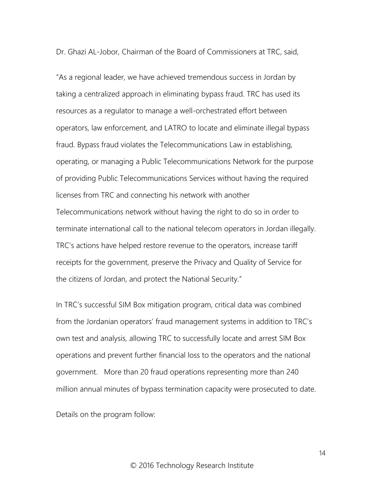Dr. Ghazi AL-Jobor, Chairman of the Board of Commissioners at TRC, said,

"As a regional leader, we have achieved tremendous success in Jordan by taking a centralized approach in eliminating bypass fraud. TRC has used its resources as a regulator to manage a well-orchestrated effort between operators, law enforcement, and LATRO to locate and eliminate illegal bypass fraud. Bypass fraud violates the Telecommunications Law in establishing, operating, or managing a Public Telecommunications Network for the purpose of providing Public Telecommunications Services without having the required licenses from TRC and connecting his network with another Telecommunications network without having the right to do so in order to terminate international call to the national telecom operators in Jordan illegally. TRC's actions have helped restore revenue to the operators, increase tariff receipts for the government, preserve the Privacy and Quality of Service for the citizens of Jordan, and protect the National Security."

In TRC's successful SIM Box mitigation program, critical data was combined from the Jordanian operators' fraud management systems in addition to TRC's own test and analysis, allowing TRC to successfully locate and arrest SIM Box operations and prevent further financial loss to the operators and the national government. More than 20 fraud operations representing more than 240 million annual minutes of bypass termination capacity were prosecuted to date.

Details on the program follow: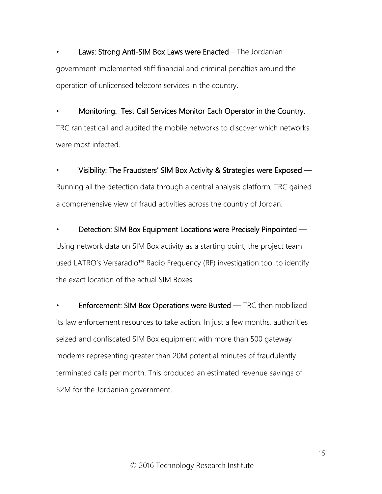Laws: Strong Anti-SIM Box Laws were Enacted – The Jordanian government implemented stiff financial and criminal penalties around the operation of unlicensed telecom services in the country.

• Monitoring: Test Call Services Monitor Each Operator in the Country. TRC ran test call and audited the mobile networks to discover which networks were most infected.

• Visibility: The Fraudsters' SIM Box Activity & Strategies were Exposed — Running all the detection data through a central analysis platform, TRC gained a comprehensive view of fraud activities across the country of Jordan.

• Detection: SIM Box Equipment Locations were Precisely Pinpointed — Using network data on SIM Box activity as a starting point, the project team used LATRO's Versaradio™ Radio Frequency (RF) investigation tool to identify the exact location of the actual SIM Boxes.

Enforcement: SIM Box Operations were Busted — TRC then mobilized its law enforcement resources to take action. In just a few months, authorities seized and confiscated SIM Box equipment with more than 500 gateway modems representing greater than 20M potential minutes of fraudulently terminated calls per month. This produced an estimated revenue savings of \$2M for the Jordanian government.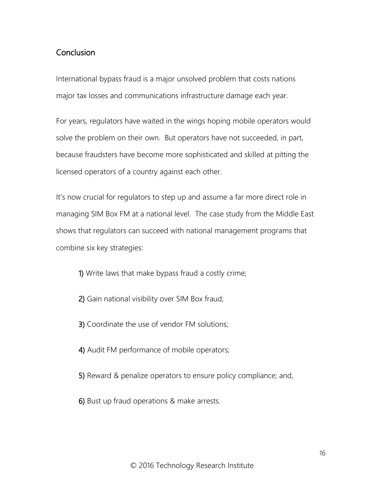## **Conclusion**

International bypass fraud is a major unsolved problem that costs nations major tax losses and communications infrastructure damage each year.

For years, regulators have waited in the wings hoping mobile operators would solve the problem on their own. But operators have not succeeded, in part, because fraudsters have become more sophisticated and skilled at pitting the licensed operators of a country against each other.

It's now crucial for regulators to step up and assume a far more direct role in managing SIM Box FM at a national level. The case study from the Middle East shows that regulators can succeed with national management programs that combine six key strategies:

- 1) Write laws that make bypass fraud a costly crime;
- 2) Gain national visibility over SIM Box fraud;
- 3) Coordinate the use of vendor FM solutions;
- 4) Audit FM performance of mobile operators;
- 5) Reward & penalize operators to ensure policy compliance; and,
- 6) Bust up fraud operations & make arrests.